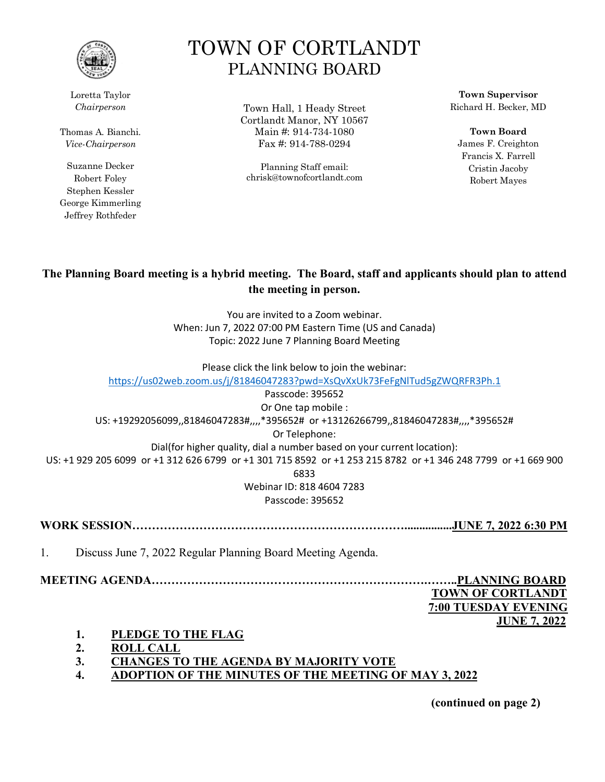

Loretta Taylor *Chairperson*

Thomas A. Bianchi. *Vice-Chairperson*

Suzanne Decker Robert Foley Stephen Kessler George Kimmerling Jeffrey Rothfeder

# TOWN OF CORTLANDT PLANNING BOARD

Town Hall, 1 Heady Street Cortlandt Manor, NY 10567 Main #: 914-734-1080 Fax #: 914-788-0294

Planning Staff email: chrisk@townofcortlandt.com

**Town Supervisor** Richard H. Becker, MD

**Town Board** James F. Creighton Francis X. Farrell Cristin Jacoby Robert Mayes

## **The Planning Board meeting is a hybrid meeting. The Board, staff and applicants should plan to attend the meeting in person.**

You are invited to a Zoom webinar. When: Jun 7, 2022 07:00 PM Eastern Time (US and Canada) Topic: 2022 June 7 Planning Board Meeting

Please click the link below to join the webinar:

<https://us02web.zoom.us/j/81846047283?pwd=XsQvXxUk73FeFgNlTud5gZWQRFR3Ph.1> Passcode: 395652 Or One tap mobile : US: +19292056099,,81846047283#,,,,\*395652# or +13126266799,,81846047283#,,,,\*395652# Or Telephone:

Dial(for higher quality, dial a number based on your current location): US: +1 929 205 6099 or +1 312 626 6799 or +1 301 715 8592 or +1 253 215 8782 or +1 346 248 7799 or +1 669 900

6833

Webinar ID: 818 4604 7283 Passcode: 395652

**WORK SESSION……………………………………………………………................JUNE 7, 2022 6:30 PM**

1. Discuss June 7, 2022 Regular Planning Board Meeting Agenda.

**MEETING AGENDA…………………………………………………………….……..PLANNING BOARD**

 **TOWN OF CORTLANDT 7:00 TUESDAY EVENING JUNE 7, 2022**

- **1. PLEDGE TO THE FLAG**
- **2. ROLL CALL**
- **3. CHANGES TO THE AGENDA BY MAJORITY VOTE**
- **4. ADOPTION OF THE MINUTES OF THE MEETING OF MAY 3, 2022**

**(continued on page 2)**